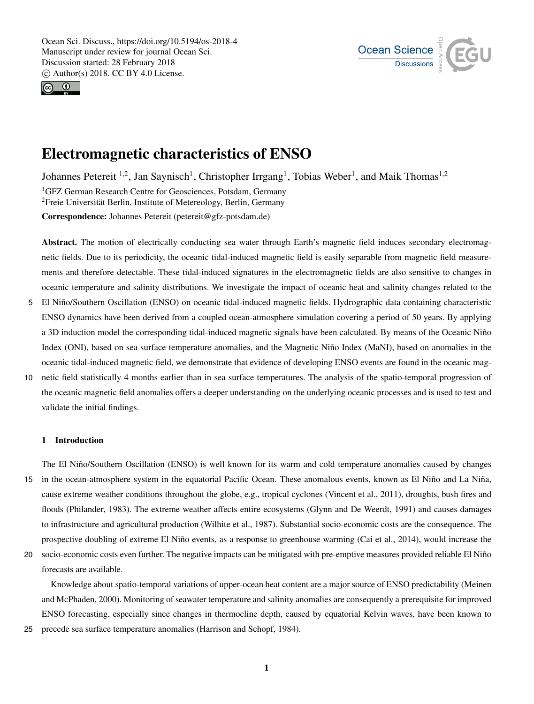



# Electromagnetic characteristics of ENSO

Johannes Petereit <sup>1,2</sup>, Jan Saynisch<sup>1</sup>, Christopher Irrgang<sup>1</sup>, Tobias Weber<sup>1</sup>, and Maik Thomas<sup>1,2</sup> <sup>1</sup>GFZ German Research Centre for Geosciences, Potsdam, Germany <sup>2</sup>Freie Universität Berlin, Institute of Metereology, Berlin, Germany Correspondence: Johannes Petereit (petereit@gfz-potsdam.de)

Abstract. The motion of electrically conducting sea water through Earth's magnetic field induces secondary electromagnetic fields. Due to its periodicity, the oceanic tidal-induced magnetic field is easily separable from magnetic field measurements and therefore detectable. These tidal-induced signatures in the electromagnetic fields are also sensitive to changes in oceanic temperature and salinity distributions. We investigate the impact of oceanic heat and salinity changes related to the

- 5 El Niño/Southern Oscillation (ENSO) on oceanic tidal-induced magnetic fields. Hydrographic data containing characteristic ENSO dynamics have been derived from a coupled ocean-atmosphere simulation covering a period of 50 years. By applying a 3D induction model the corresponding tidal-induced magnetic signals have been calculated. By means of the Oceanic Niño Index (ONI), based on sea surface temperature anomalies, and the Magnetic Niño Index (MaNI), based on anomalies in the oceanic tidal-induced magnetic field, we demonstrate that evidence of developing ENSO events are found in the oceanic mag-
- 10 netic field statistically 4 months earlier than in sea surface temperatures. The analysis of the spatio-temporal progression of the oceanic magnetic field anomalies offers a deeper understanding on the underlying oceanic processes and is used to test and validate the initial findings.

# 1 Introduction

The El Niño/Southern Oscillation (ENSO) is well known for its warm and cold temperature anomalies caused by changes 15 in the ocean-atmosphere system in the equatorial Pacific Ocean. These anomalous events, known as El Niño and La Niña, cause extreme weather conditions throughout the globe, e.g., tropical cyclones (Vincent et al., 2011), droughts, bush fires and floods (Philander, 1983). The extreme weather affects entire ecosystems (Glynn and De Weerdt, 1991) and causes damages to infrastructure and agricultural production (Wilhite et al., 1987). Substantial socio-economic costs are the consequence. The prospective doubling of extreme El Niño events, as a response to greenhouse warming (Cai et al., 2014), would increase the

20 socio-economic costs even further. The negative impacts can be mitigated with pre-emptive measures provided reliable El Niño forecasts are available.

Knowledge about spatio-temporal variations of upper-ocean heat content are a major source of ENSO predictability (Meinen and McPhaden, 2000). Monitoring of seawater temperature and salinity anomalies are consequently a prerequisite for improved ENSO forecasting, especially since changes in thermocline depth, caused by equatorial Kelvin waves, have been known to

25 precede sea surface temperature anomalies (Harrison and Schopf, 1984).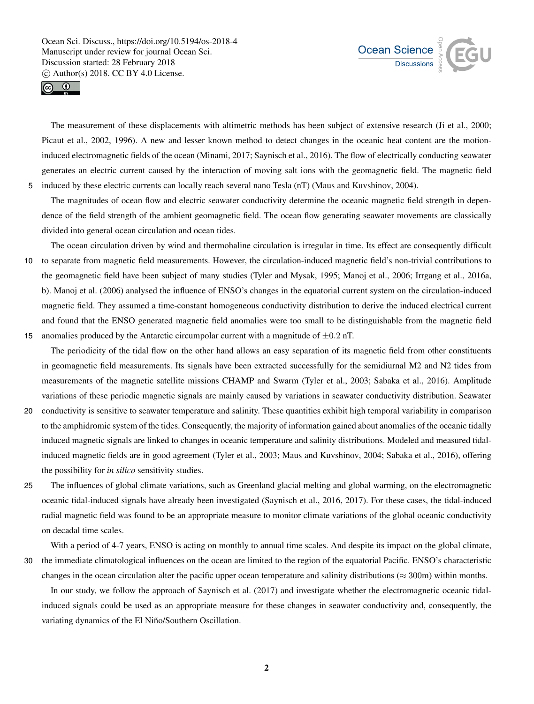



The measurement of these displacements with altimetric methods has been subject of extensive research (Ji et al., 2000; Picaut et al., 2002, 1996). A new and lesser known method to detect changes in the oceanic heat content are the motioninduced electromagnetic fields of the ocean (Minami, 2017; Saynisch et al., 2016). The flow of electrically conducting seawater generates an electric current caused by the interaction of moving salt ions with the geomagnetic field. The magnetic field 5 induced by these electric currents can locally reach several nano Tesla (nT) (Maus and Kuvshinov, 2004).

The magnitudes of ocean flow and electric seawater conductivity determine the oceanic magnetic field strength in dependence of the field strength of the ambient geomagnetic field. The ocean flow generating seawater movements are classically divided into general ocean circulation and ocean tides.

The ocean circulation driven by wind and thermohaline circulation is irregular in time. Its effect are consequently difficult 10 to separate from magnetic field measurements. However, the circulation-induced magnetic field's non-trivial contributions to the geomagnetic field have been subject of many studies (Tyler and Mysak, 1995; Manoj et al., 2006; Irrgang et al., 2016a, b). Manoj et al. (2006) analysed the influence of ENSO's changes in the equatorial current system on the circulation-induced magnetic field. They assumed a time-constant homogeneous conductivity distribution to derive the induced electrical current and found that the ENSO generated magnetic field anomalies were too small to be distinguishable from the magnetic field 15 anomalies produced by the Antarctic circumpolar current with a magnitude of  $\pm 0.2$  nT.

The periodicity of the tidal flow on the other hand allows an easy separation of its magnetic field from other constituents in geomagnetic field measurements. Its signals have been extracted successfully for the semidiurnal M2 and N2 tides from measurements of the magnetic satellite missions CHAMP and Swarm (Tyler et al., 2003; Sabaka et al., 2016). Amplitude variations of these periodic magnetic signals are mainly caused by variations in seawater conductivity distribution. Seawater

- 20 conductivity is sensitive to seawater temperature and salinity. These quantities exhibit high temporal variability in comparison to the amphidromic system of the tides. Consequently, the majority of information gained about anomalies of the oceanic tidally induced magnetic signals are linked to changes in oceanic temperature and salinity distributions. Modeled and measured tidalinduced magnetic fields are in good agreement (Tyler et al., 2003; Maus and Kuvshinov, 2004; Sabaka et al., 2016), offering the possibility for *in silico* sensitivity studies.
- 

25 The influences of global climate variations, such as Greenland glacial melting and global warming, on the electromagnetic oceanic tidal-induced signals have already been investigated (Saynisch et al., 2016, 2017). For these cases, the tidal-induced radial magnetic field was found to be an appropriate measure to monitor climate variations of the global oceanic conductivity on decadal time scales.

With a period of 4-7 years, ENSO is acting on monthly to annual time scales. And despite its impact on the global climate, 30 the immediate climatological influences on the ocean are limited to the region of the equatorial Pacific. ENSO's characteristic changes in the ocean circulation alter the pacific upper ocean temperature and salinity distributions ( $\approx$  300m) within months.

In our study, we follow the approach of Saynisch et al. (2017) and investigate whether the electromagnetic oceanic tidalinduced signals could be used as an appropriate measure for these changes in seawater conductivity and, consequently, the variating dynamics of the El Niño/Southern Oscillation.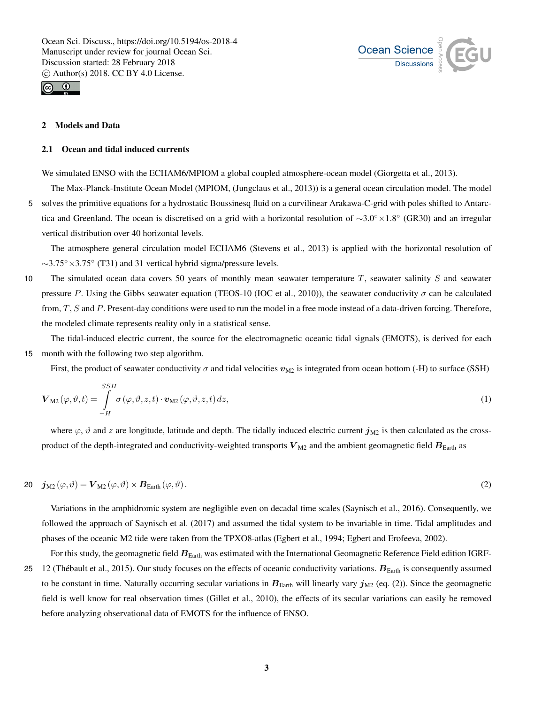



# 2 Models and Data

#### 2.1 Ocean and tidal induced currents

We simulated ENSO with the ECHAM6/MPIOM a global coupled atmosphere-ocean model (Giorgetta et al., 2013).

The Max-Planck-Institute Ocean Model (MPIOM, (Jungclaus et al., 2013)) is a general ocean circulation model. The model 5 solves the primitive equations for a hydrostatic Boussinesq fluid on a curvilinear Arakawa-C-grid with poles shifted to Antarctica and Greenland. The ocean is discretised on a grid with a horizontal resolution of ∼3.0◦×1.8◦ (GR30) and an irregular vertical distribution over 40 horizontal levels.

The atmosphere general circulation model ECHAM6 (Stevens et al., 2013) is applied with the horizontal resolution of  $\sim$ 3.75° × 3.75° (T31) and 31 vertical hybrid sigma/pressure levels.

10 The simulated ocean data covers 50 years of monthly mean seawater temperature  $T$ , seawater salinity  $S$  and seawater pressure P. Using the Gibbs seawater equation (TEOS-10 (IOC et al., 2010)), the seawater conductivity  $\sigma$  can be calculated from, T, S and P. Present-day conditions were used to run the model in a free mode instead of a data-driven forcing. Therefore, the modeled climate represents reality only in a statistical sense.

The tidal-induced electric current, the source for the electromagnetic oceanic tidal signals (EMOTS), is derived for each 15 month with the following two step algorithm.

First, the product of seawater conductivity  $\sigma$  and tidal velocities  $v_{M2}$  is integrated from ocean bottom (-H) to surface (SSH)

$$
\mathbf{V}_{\mathrm{M2}}(\varphi,\vartheta,t) = \int\limits_{-H}^{SSH} \sigma(\varphi,\vartheta,z,t) \cdot \mathbf{v}_{\mathrm{M2}}(\varphi,\vartheta,z,t) \, dz,\tag{1}
$$

where  $\varphi$ ,  $\vartheta$  and z are longitude, latitude and depth. The tidally induced electric current  $j_{\text{M2}}$  is then calculated as the crossproduct of the depth-integrated and conductivity-weighted transports  $V_{\text{M2}}$  and the ambient geomagnetic field  $B_{\text{Earth}}$  as

20 
$$
\mathbf{j}_{\mathrm{M2}}(\varphi,\vartheta) = \mathbf{V}_{\mathrm{M2}}(\varphi,\vartheta) \times \mathbf{B}_{\mathrm{Earth}}(\varphi,\vartheta).
$$
 (2)

Variations in the amphidromic system are negligible even on decadal time scales (Saynisch et al., 2016). Consequently, we followed the approach of Saynisch et al. (2017) and assumed the tidal system to be invariable in time. Tidal amplitudes and phases of the oceanic M2 tide were taken from the TPXO8-atlas (Egbert et al., 1994; Egbert and Erofeeva, 2002).

For this study, the geomagnetic field  $B<sub>Earth</sub>$  was estimated with the International Geomagnetic Reference Field edition IGRF-25 12 (Thébault et al., 2015). Our study focuses on the effects of oceanic conductivity variations.  $B_{\text{Earth}}$  is consequently assumed to be constant in time. Naturally occurring secular variations in  $B<sub>Earth</sub>$  will linearly vary  $j<sub>M2</sub>$  (eq. (2)). Since the geomagnetic field is well know for real observation times (Gillet et al., 2010), the effects of its secular variations can easily be removed before analyzing observational data of EMOTS for the influence of ENSO.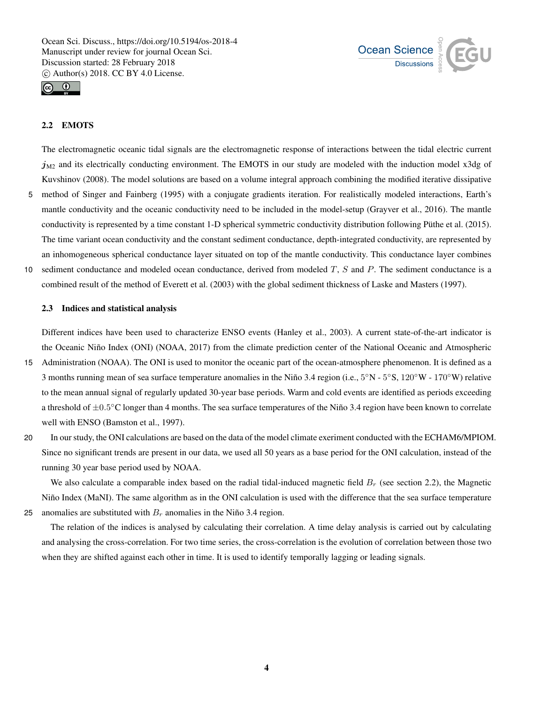



# 2.2 EMOTS

The electromagnetic oceanic tidal signals are the electromagnetic response of interactions between the tidal electric current  $j_{M2}$  and its electrically conducting environment. The EMOTS in our study are modeled with the induction model x3dg of Kuvshinov (2008). The model solutions are based on a volume integral approach combining the modified iterative dissipative

- 5 method of Singer and Fainberg (1995) with a conjugate gradients iteration. For realistically modeled interactions, Earth's mantle conductivity and the oceanic conductivity need to be included in the model-setup (Grayver et al., 2016). The mantle conductivity is represented by a time constant 1-D spherical symmetric conductivity distribution following Püthe et al. (2015). The time variant ocean conductivity and the constant sediment conductance, depth-integrated conductivity, are represented by an inhomogeneous spherical conductance layer situated on top of the mantle conductivity. This conductance layer combines
- 10 sediment conductance and modeled ocean conductance, derived from modeled  $T$ ,  $S$  and  $P$ . The sediment conductance is a combined result of the method of Everett et al. (2003) with the global sediment thickness of Laske and Masters (1997).

#### 2.3 Indices and statistical analysis

Different indices have been used to characterize ENSO events (Hanley et al., 2003). A current state-of-the-art indicator is the Oceanic Niño Index (ONI) (NOAA, 2017) from the climate prediction center of the National Oceanic and Atmospheric

- 15 Administration (NOAA). The ONI is used to monitor the oceanic part of the ocean-atmosphere phenomenon. It is defined as a 3 months running mean of sea surface temperature anomalies in the Niño 3.4 region (i.e.,  $5^\circ N - 5^\circ S$ ,  $120^\circ W - 170^\circ W$ ) relative to the mean annual signal of regularly updated 30-year base periods. Warm and cold events are identified as periods exceeding a threshold of  $\pm 0.5^{\circ}$ C longer than 4 months. The sea surface temperatures of the Niño 3.4 region have been known to correlate well with ENSO (Bamston et al., 1997).
- 20 In our study, the ONI calculations are based on the data of the model climate exeriment conducted with the ECHAM6/MPIOM. Since no significant trends are present in our data, we used all 50 years as a base period for the ONI calculation, instead of the running 30 year base period used by NOAA.

We also calculate a comparable index based on the radial tidal-induced magnetic field  $B_r$  (see section 2.2), the Magnetic Niño Index (MaNI). The same algorithm as in the ONI calculation is used with the difference that the sea surface temperature 25 anomalies are substituted with  $B_r$  anomalies in the Niño 3.4 region.

The relation of the indices is analysed by calculating their correlation. A time delay analysis is carried out by calculating and analysing the cross-correlation. For two time series, the cross-correlation is the evolution of correlation between those two when they are shifted against each other in time. It is used to identify temporally lagging or leading signals.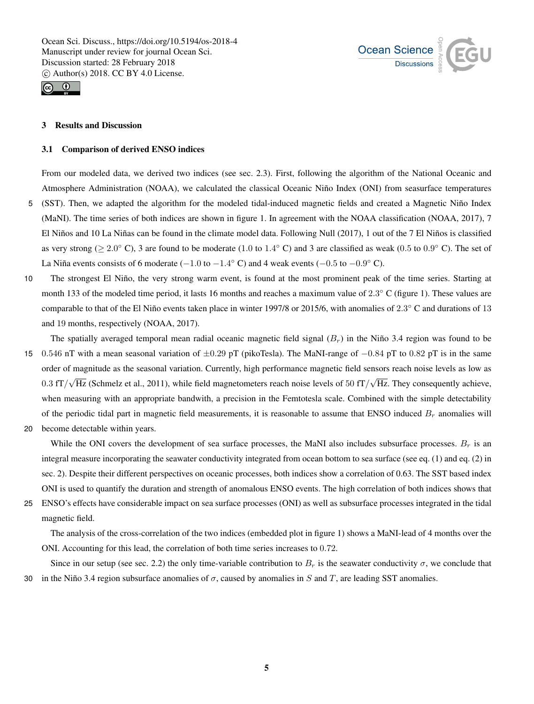



# 3 Results and Discussion

#### 3.1 Comparison of derived ENSO indices

From our modeled data, we derived two indices (see sec. 2.3). First, following the algorithm of the National Oceanic and Atmosphere Administration (NOAA), we calculated the classical Oceanic Niño Index (ONI) from seasurface temperatures 5 (SST). Then, we adapted the algorithm for the modeled tidal-induced magnetic fields and created a Magnetic Niño Index (MaNI). The time series of both indices are shown in figure 1. In agreement with the NOAA classification (NOAA, 2017), 7 El Niños and 10 La Niñas can be found in the climate model data. Following Null (2017), 1 out of the 7 El Niños is classified as very strong ( $\geq 2.0^{\circ}$  C), 3 are found to be moderate (1.0 to 1.4 $^{\circ}$  C) and 3 are classified as weak (0.5 to 0.9 $^{\circ}$  C). The set of La Niña events consists of 6 moderate ( $-1.0$  to  $-1.4^{\circ}$  C) and 4 weak events ( $-0.5$  to  $-0.9^{\circ}$  C).

10 The strongest El Niño, the very strong warm event, is found at the most prominent peak of the time series. Starting at month 133 of the modeled time period, it lasts 16 months and reaches a maximum value of  $2.3^{\circ}$  C (figure 1). These values are comparable to that of the El Niño events taken place in winter 1997/8 or 2015/6, with anomalies of  $2.3^{\circ}$  C and durations of 13 and 19 months, respectively (NOAA, 2017).

The spatially averaged temporal mean radial oceanic magnetic field signal  $(B<sub>r</sub>)$  in the Niño 3.4 region was found to be <sup>15</sup> 0.546 nT with a mean seasonal variation of ±0.29 pT (pikoTesla). The MaNI-range of −0.84 pT to 0.82 pT is in the same order of magnitude as the seasonal variation. Currently, high performance magnetic field sensors reach noise levels as low as 0.3 fT/ $\sqrt{Hz}$  (Schmelz et al., 2011), while field magnetometers reach noise levels of 50 fT/ $\sqrt{Hz}$ . They consequently achieve, when measuring with an appropriate bandwith, a precision in the Femtotesla scale. Combined with the simple detectability of the periodic tidal part in magnetic field measurements, it is reasonable to assume that ENSO induced  $B_r$  anomalies will

20 become detectable within years.

While the ONI covers the development of sea surface processes, the MaNI also includes subsurface processes.  $B_r$  is an integral measure incorporating the seawater conductivity integrated from ocean bottom to sea surface (see eq. (1) and eq. (2) in sec. 2). Despite their different perspectives on oceanic processes, both indices show a correlation of 0.63. The SST based index ONI is used to quantify the duration and strength of anomalous ENSO events. The high correlation of both indices shows that

25 ENSO's effects have considerable impact on sea surface processes (ONI) as well as subsurface processes integrated in the tidal magnetic field.

The analysis of the cross-correlation of the two indices (embedded plot in figure 1) shows a MaNI-lead of 4 months over the ONI. Accounting for this lead, the correlation of both time series increases to 0.72.

Since in our setup (see sec. 2.2) the only time-variable contribution to  $B_r$  is the seawater conductivity  $\sigma$ , we conclude that 30 in the Niño 3.4 region subsurface anomalies of  $\sigma$ , caused by anomalies in S and T, are leading SST anomalies.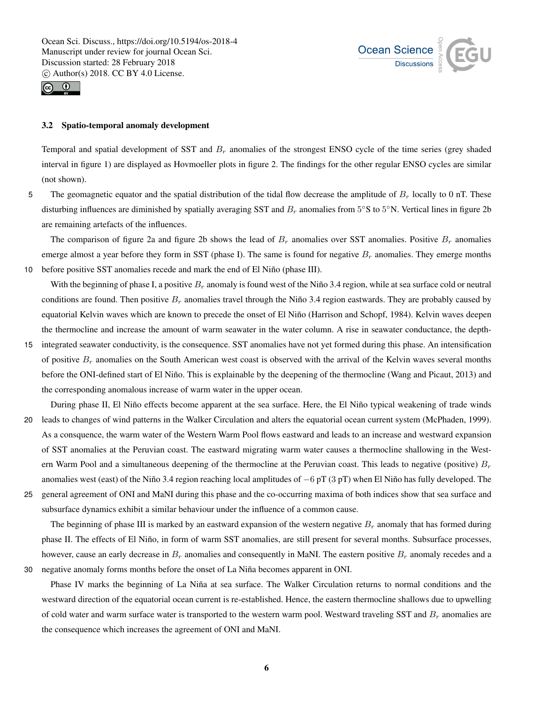



#### 3.2 Spatio-temporal anomaly development

Temporal and spatial development of SST and  $B_r$  anomalies of the strongest ENSO cycle of the time series (grey shaded interval in figure 1) are displayed as Hovmoeller plots in figure 2. The findings for the other regular ENSO cycles are similar (not shown).

5 The geomagnetic equator and the spatial distribution of the tidal flow decrease the amplitude of  $B_r$  locally to 0 nT. These disturbing influences are diminished by spatially averaging SST and  $B_r$  anomalies from  $5^{\circ}$ S to  $5^{\circ}$ N. Vertical lines in figure 2b are remaining artefacts of the influences.

The comparison of figure 2a and figure 2b shows the lead of  $B_r$  anomalies over SST anomalies. Positive  $B_r$  anomalies emerge almost a year before they form in SST (phase I). The same is found for negative  $B_r$  anomalies. They emerge months 10 before positive SST anomalies recede and mark the end of El Niño (phase III).

With the beginning of phase I, a positive  $B_r$  anomaly is found west of the Niño 3.4 region, while at sea surface cold or neutral conditions are found. Then positive  $B_r$  anomalies travel through the Niño 3.4 region eastwards. They are probably caused by equatorial Kelvin waves which are known to precede the onset of El Niño (Harrison and Schopf, 1984). Kelvin waves deepen the thermocline and increase the amount of warm seawater in the water column. A rise in seawater conductance, the depth-

15 integrated seawater conductivity, is the consequence. SST anomalies have not yet formed during this phase. An intensification of positive  $B_r$  anomalies on the South American west coast is observed with the arrival of the Kelvin waves several months before the ONI-defined start of El Niño. This is explainable by the deepening of the thermocline (Wang and Picaut, 2013) and the corresponding anomalous increase of warm water in the upper ocean.

During phase II, El Niño effects become apparent at the sea surface. Here, the El Niño typical weakening of trade winds 20 leads to changes of wind patterns in the Walker Circulation and alters the equatorial ocean current system (McPhaden, 1999).

As a consquence, the warm water of the Western Warm Pool flows eastward and leads to an increase and westward expansion of SST anomalies at the Peruvian coast. The eastward migrating warm water causes a thermocline shallowing in the Western Warm Pool and a simultaneous deepening of the thermocline at the Peruvian coast. This leads to negative (positive)  $B_r$ anomalies west (east) of the Niño 3.4 region reaching local amplitudes of −6 pT (3 pT) when El Niño has fully developed. The 25 general agreement of ONI and MaNI during this phase and the co-occurring maxima of both indices show that sea surface and

subsurface dynamics exhibit a similar behaviour under the influence of a common cause.

The beginning of phase III is marked by an eastward expansion of the western negative  $B_r$  anomaly that has formed during phase II. The effects of El Niño, in form of warm SST anomalies, are still present for several months. Subsurface processes, however, cause an early decrease in  $B_r$  anomalies and consequently in MaNI. The eastern positive  $B_r$  anomaly recedes and a 30 negative anomaly forms months before the onset of La Niña becomes apparent in ONI.

Phase IV marks the beginning of La Niña at sea surface. The Walker Circulation returns to normal conditions and the westward direction of the equatorial ocean current is re-established. Hence, the eastern thermocline shallows due to upwelling of cold water and warm surface water is transported to the western warm pool. Westward traveling SST and  $B_r$  anomalies are the consequence which increases the agreement of ONI and MaNI.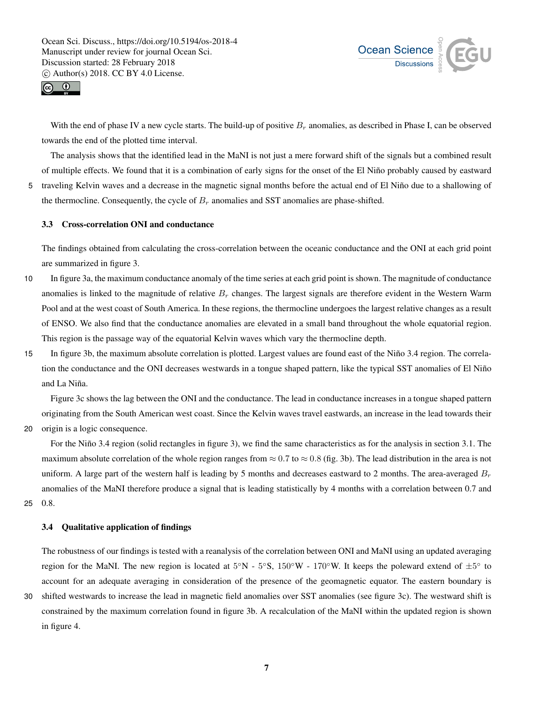



With the end of phase IV a new cycle starts. The build-up of positive  $B_r$  anomalies, as described in Phase I, can be observed towards the end of the plotted time interval.

The analysis shows that the identified lead in the MaNI is not just a mere forward shift of the signals but a combined result of multiple effects. We found that it is a combination of early signs for the onset of the El Niño probably caused by eastward 5 traveling Kelvin waves and a decrease in the magnetic signal months before the actual end of El Niño due to a shallowing of

the thermocline. Consequently, the cycle of  $B_r$  anomalies and SST anomalies are phase-shifted.

## 3.3 Cross-correlation ONI and conductance

The findings obtained from calculating the cross-correlation between the oceanic conductance and the ONI at each grid point are summarized in figure 3.

- 10 In figure 3a, the maximum conductance anomaly of the time series at each grid point is shown. The magnitude of conductance anomalies is linked to the magnitude of relative  $B_r$  changes. The largest signals are therefore evident in the Western Warm Pool and at the west coast of South America. In these regions, the thermocline undergoes the largest relative changes as a result of ENSO. We also find that the conductance anomalies are elevated in a small band throughout the whole equatorial region. This region is the passage way of the equatorial Kelvin waves which vary the thermocline depth.
- 15 In figure 3b, the maximum absolute correlation is plotted. Largest values are found east of the Niño 3.4 region. The correlation the conductance and the ONI decreases westwards in a tongue shaped pattern, like the typical SST anomalies of El Niño and La Niña.

Figure 3c shows the lag between the ONI and the conductance. The lead in conductance increases in a tongue shaped pattern originating from the South American west coast. Since the Kelvin waves travel eastwards, an increase in the lead towards their

20 origin is a logic consequence.

For the Niño 3.4 region (solid rectangles in figure 3), we find the same characteristics as for the analysis in section 3.1. The maximum absolute correlation of the whole region ranges from  $\approx 0.7$  to  $\approx 0.8$  (fig. 3b). The lead distribution in the area is not uniform. A large part of the western half is leading by 5 months and decreases eastward to 2 months. The area-averaged  $B_r$ anomalies of the MaNI therefore produce a signal that is leading statistically by 4 months with a correlation between 0.7 and 25 0.8.

#### 3.4 Qualitative application of findings

The robustness of our findings is tested with a reanalysis of the correlation between ONI and MaNI using an updated averaging region for the MaNI. The new region is located at  $5°N - 5°S$ ,  $150°W - 170°W$ . It keeps the poleward extend of  $\pm 5°$  to account for an adequate averaging in consideration of the presence of the geomagnetic equator. The eastern boundary is

30 shifted westwards to increase the lead in magnetic field anomalies over SST anomalies (see figure 3c). The westward shift is constrained by the maximum correlation found in figure 3b. A recalculation of the MaNI within the updated region is shown in figure 4.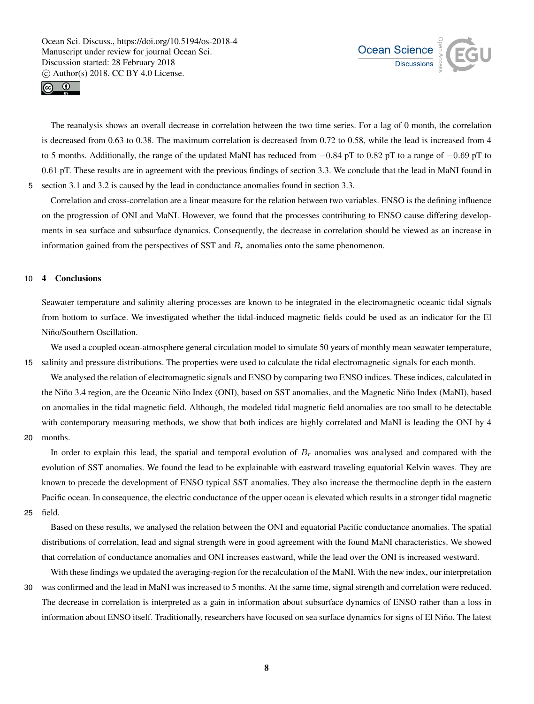



The reanalysis shows an overall decrease in correlation between the two time series. For a lag of 0 month, the correlation is decreased from 0.63 to 0.38. The maximum correlation is decreased from 0.72 to 0.58, while the lead is increased from 4 to 5 months. Additionally, the range of the updated MaNI has reduced from  $-0.84$  pT to 0.82 pT to a range of  $-0.69$  pT to 0.61 pT. These results are in agreement with the previous findings of section 3.3. We conclude that the lead in MaNI found in 5 section 3.1 and 3.2 is caused by the lead in conductance anomalies found in section 3.3.

Correlation and cross-correlation are a linear measure for the relation between two variables. ENSO is the defining influence on the progression of ONI and MaNI. However, we found that the processes contributing to ENSO cause differing developments in sea surface and subsurface dynamics. Consequently, the decrease in correlation should be viewed as an increase in information gained from the perspectives of SST and  $B<sub>r</sub>$  anomalies onto the same phenomenon.

## 10 4 Conclusions

Seawater temperature and salinity altering processes are known to be integrated in the electromagnetic oceanic tidal signals from bottom to surface. We investigated whether the tidal-induced magnetic fields could be used as an indicator for the El Niño/Southern Oscillation.

We used a coupled ocean-atmosphere general circulation model to simulate 50 years of monthly mean seawater temperature, 15 salinity and pressure distributions. The properties were used to calculate the tidal electromagnetic signals for each month.

We analysed the relation of electromagnetic signals and ENSO by comparing two ENSO indices. These indices, calculated in the Niño 3.4 region, are the Oceanic Niño Index (ONI), based on SST anomalies, and the Magnetic Niño Index (MaNI), based on anomalies in the tidal magnetic field. Although, the modeled tidal magnetic field anomalies are too small to be detectable with contemporary measuring methods, we show that both indices are highly correlated and MaNI is leading the ONI by 4

# 20 months.

In order to explain this lead, the spatial and temporal evolution of  $B_r$  anomalies was analysed and compared with the evolution of SST anomalies. We found the lead to be explainable with eastward traveling equatorial Kelvin waves. They are known to precede the development of ENSO typical SST anomalies. They also increase the thermocline depth in the eastern Pacific ocean. In consequence, the electric conductance of the upper ocean is elevated which results in a stronger tidal magnetic

25 field.

Based on these results, we analysed the relation between the ONI and equatorial Pacific conductance anomalies. The spatial distributions of correlation, lead and signal strength were in good agreement with the found MaNI characteristics. We showed that correlation of conductance anomalies and ONI increases eastward, while the lead over the ONI is increased westward.

With these findings we updated the averaging-region for the recalculation of the MaNI. With the new index, our interpretation 30 was confirmed and the lead in MaNI was increased to 5 months. At the same time, signal strength and correlation were reduced. The decrease in correlation is interpreted as a gain in information about subsurface dynamics of ENSO rather than a loss in information about ENSO itself. Traditionally, researchers have focused on sea surface dynamics for signs of El Niño. The latest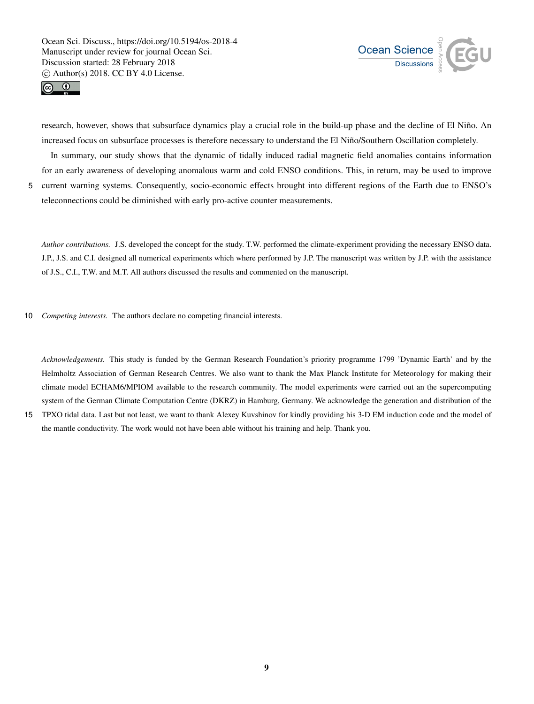



research, however, shows that subsurface dynamics play a crucial role in the build-up phase and the decline of El Niño. An increased focus on subsurface processes is therefore necessary to understand the El Niño/Southern Oscillation completely.

In summary, our study shows that the dynamic of tidally induced radial magnetic field anomalies contains information for an early awareness of developing anomalous warm and cold ENSO conditions. This, in return, may be used to improve 5 current warning systems. Consequently, socio-economic effects brought into different regions of the Earth due to ENSO's

teleconnections could be diminished with early pro-active counter measurements.

*Author contributions.* J.S. developed the concept for the study. T.W. performed the climate-experiment providing the necessary ENSO data. J.P., J.S. and C.I. designed all numerical experiments which where performed by J.P. The manuscript was written by J.P. with the assistance of J.S., C.I., T.W. and M.T. All authors discussed the results and commented on the manuscript.

10 *Competing interests.* The authors declare no competing financial interests.

*Acknowledgements.* This study is funded by the German Research Foundation's priority programme 1799 'Dynamic Earth' and by the Helmholtz Association of German Research Centres. We also want to thank the Max Planck Institute for Meteorology for making their climate model ECHAM6/MPIOM available to the research community. The model experiments were carried out an the supercomputing system of the German Climate Computation Centre (DKRZ) in Hamburg, Germany. We acknowledge the generation and distribution of the

15 TPXO tidal data. Last but not least, we want to thank Alexey Kuvshinov for kindly providing his 3-D EM induction code and the model of the mantle conductivity. The work would not have been able without his training and help. Thank you.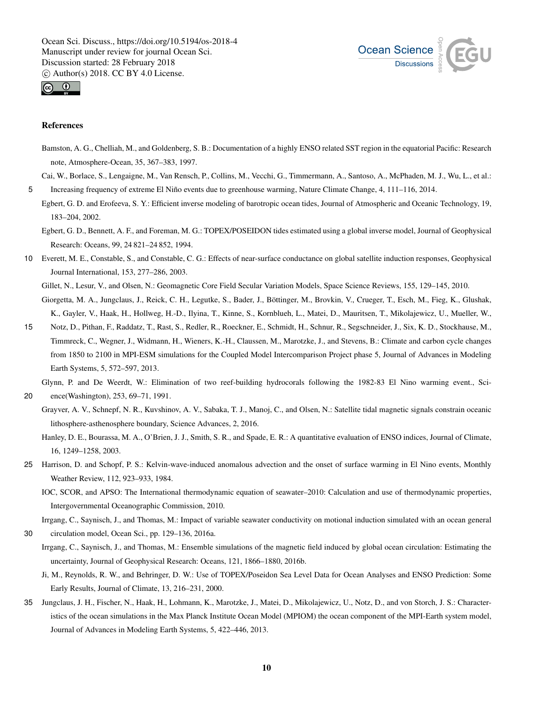



#### References

Bamston, A. G., Chelliah, M., and Goldenberg, S. B.: Documentation of a highly ENSO related SST region in the equatorial Pacific: Research note, Atmosphere-Ocean, 35, 367–383, 1997.

Cai, W., Borlace, S., Lengaigne, M., Van Rensch, P., Collins, M., Vecchi, G., Timmermann, A., Santoso, A., McPhaden, M. J., Wu, L., et al.: 5 Increasing frequency of extreme El Niño events due to greenhouse warming, Nature Climate Change, 4, 111–116, 2014.

Egbert, G. D. and Erofeeva, S. Y.: Efficient inverse modeling of barotropic ocean tides, Journal of Atmospheric and Oceanic Technology, 19, 183–204, 2002.

Egbert, G. D., Bennett, A. F., and Foreman, M. G.: TOPEX/POSEIDON tides estimated using a global inverse model, Journal of Geophysical Research: Oceans, 99, 24 821–24 852, 1994.

10 Everett, M. E., Constable, S., and Constable, C. G.: Effects of near-surface conductance on global satellite induction responses, Geophysical Journal International, 153, 277–286, 2003.

Gillet, N., Lesur, V., and Olsen, N.: Geomagnetic Core Field Secular Variation Models, Space Science Reviews, 155, 129–145, 2010.

Giorgetta, M. A., Jungclaus, J., Reick, C. H., Legutke, S., Bader, J., Böttinger, M., Brovkin, V., Crueger, T., Esch, M., Fieg, K., Glushak, K., Gayler, V., Haak, H., Hollweg, H.-D., Ilyina, T., Kinne, S., Kornblueh, L., Matei, D., Mauritsen, T., Mikolajewicz, U., Mueller, W.,

15 Notz, D., Pithan, F., Raddatz, T., Rast, S., Redler, R., Roeckner, E., Schmidt, H., Schnur, R., Segschneider, J., Six, K. D., Stockhause, M., Timmreck, C., Wegner, J., Widmann, H., Wieners, K.-H., Claussen, M., Marotzke, J., and Stevens, B.: Climate and carbon cycle changes from 1850 to 2100 in MPI-ESM simulations for the Coupled Model Intercomparison Project phase 5, Journal of Advances in Modeling Earth Systems, 5, 572–597, 2013.

Glynn, P. and De Weerdt, W.: Elimination of two reef-building hydrocorals following the 1982-83 El Nino warming event., Sci-

20 ence(Washington), 253, 69–71, 1991.

Grayver, A. V., Schnepf, N. R., Kuvshinov, A. V., Sabaka, T. J., Manoj, C., and Olsen, N.: Satellite tidal magnetic signals constrain oceanic lithosphere-asthenosphere boundary, Science Advances, 2, 2016.

Hanley, D. E., Bourassa, M. A., O'Brien, J. J., Smith, S. R., and Spade, E. R.: A quantitative evaluation of ENSO indices, Journal of Climate, 16, 1249–1258, 2003.

25 Harrison, D. and Schopf, P. S.: Kelvin-wave-induced anomalous advection and the onset of surface warming in El Nino events, Monthly Weather Review, 112, 923–933, 1984.

IOC, SCOR, and APSO: The International thermodynamic equation of seawater–2010: Calculation and use of thermodynamic properties, Intergovernmental Oceanographic Commission, 2010.

Irrgang, C., Saynisch, J., and Thomas, M.: Impact of variable seawater conductivity on motional induction simulated with an ocean general

30 circulation model, Ocean Sci., pp. 129–136, 2016a.

- Irrgang, C., Saynisch, J., and Thomas, M.: Ensemble simulations of the magnetic field induced by global ocean circulation: Estimating the uncertainty, Journal of Geophysical Research: Oceans, 121, 1866–1880, 2016b.
- Ji, M., Reynolds, R. W., and Behringer, D. W.: Use of TOPEX/Poseidon Sea Level Data for Ocean Analyses and ENSO Prediction: Some Early Results, Journal of Climate, 13, 216–231, 2000.
- 35 Jungclaus, J. H., Fischer, N., Haak, H., Lohmann, K., Marotzke, J., Matei, D., Mikolajewicz, U., Notz, D., and von Storch, J. S.: Characteristics of the ocean simulations in the Max Planck Institute Ocean Model (MPIOM) the ocean component of the MPI-Earth system model, Journal of Advances in Modeling Earth Systems, 5, 422–446, 2013.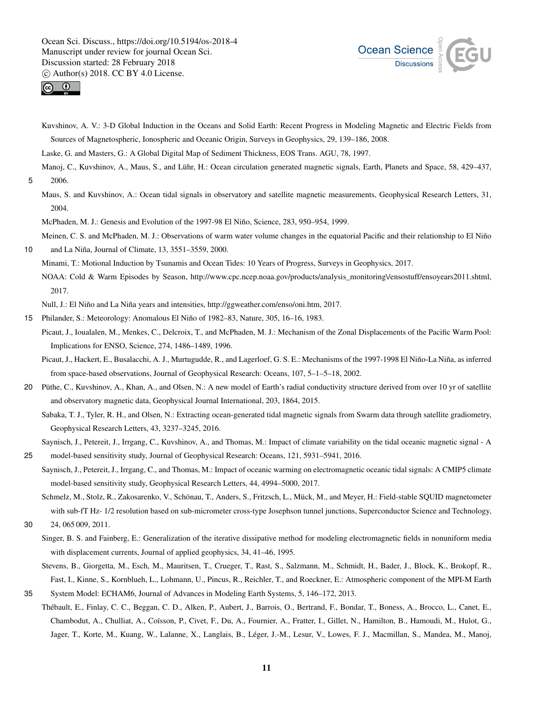



Kuvshinov, A. V.: 3-D Global Induction in the Oceans and Solid Earth: Recent Progress in Modeling Magnetic and Electric Fields from Sources of Magnetospheric, Ionospheric and Oceanic Origin, Surveys in Geophysics, 29, 139–186, 2008.

Laske, G. and Masters, G.: A Global Digital Map of Sediment Thickness, EOS Trans. AGU, 78, 1997.

- Manoj, C., Kuvshinov, A., Maus, S., and Lühr, H.: Ocean circulation generated magnetic signals, Earth, Planets and Space, 58, 429–437, 5 2006.
- Maus, S. and Kuvshinov, A.: Ocean tidal signals in observatory and satellite magnetic measurements, Geophysical Research Letters, 31, 2004.

McPhaden, M. J.: Genesis and Evolution of the 1997-98 El Niño, Science, 283, 950–954, 1999.

Meinen, C. S. and McPhaden, M. J.: Observations of warm water volume changes in the equatorial Pacific and their relationship to El Niño 10 and La Niña, Journal of Climate, 13, 3551–3559, 2000.

Minami, T.: Motional Induction by Tsunamis and Ocean Tides: 10 Years of Progress, Surveys in Geophysics, 2017.

NOAA: Cold & Warm Episodes by Season, http://www.cpc.ncep.noaa.gov/products/analysis\_monitoring\/ensostuff/ensoyears2011.shtml, 2017.

Null, J.: El Niño and La Niña years and intensities, http://ggweather.com/enso/oni.htm, 2017.

- 15 Philander, S.: Meteorology: Anomalous El Niño of 1982–83, Nature, 305, 16–16, 1983.
	- Picaut, J., Ioualalen, M., Menkes, C., Delcroix, T., and McPhaden, M. J.: Mechanism of the Zonal Displacements of the Pacific Warm Pool: Implications for ENSO, Science, 274, 1486–1489, 1996.
		- Picaut, J., Hackert, E., Busalacchi, A. J., Murtugudde, R., and Lagerloef, G. S. E.: Mechanisms of the 1997-1998 El Niño-La Niña, as inferred from space-based observations, Journal of Geophysical Research: Oceans, 107, 5–1–5–18, 2002.
- 20 Püthe, C., Kuvshinov, A., Khan, A., and Olsen, N.: A new model of Earth's radial conductivity structure derived from over 10 yr of satellite and observatory magnetic data, Geophysical Journal International, 203, 1864, 2015.

Sabaka, T. J., Tyler, R. H., and Olsen, N.: Extracting ocean-generated tidal magnetic signals from Swarm data through satellite gradiometry, Geophysical Research Letters, 43, 3237–3245, 2016.

Saynisch, J., Petereit, J., Irrgang, C., Kuvshinov, A., and Thomas, M.: Impact of climate variability on the tidal oceanic magnetic signal - A 25 model-based sensitivity study, Journal of Geophysical Research: Oceans, 121, 5931–5941, 2016.

Saynisch, J., Petereit, J., Irrgang, C., and Thomas, M.: Impact of oceanic warming on electromagnetic oceanic tidal signals: A CMIP5 climate model-based sensitivity study, Geophysical Research Letters, 44, 4994–5000, 2017.

Schmelz, M., Stolz, R., Zakosarenko, V., Schönau, T., Anders, S., Fritzsch, L., Mück, M., and Meyer, H.: Field-stable SQUID magnetometer with sub-fT Hz- 1/2 resolution based on sub-micrometer cross-type Josephson tunnel junctions, Superconductor Science and Technology,

30 24, 065 009, 2011.

Singer, B. S. and Fainberg, E.: Generalization of the iterative dissipative method for modeling electromagnetic fields in nonuniform media with displacement currents, Journal of applied geophysics, 34, 41–46, 1995.

Stevens, B., Giorgetta, M., Esch, M., Mauritsen, T., Crueger, T., Rast, S., Salzmann, M., Schmidt, H., Bader, J., Block, K., Brokopf, R., Fast, I., Kinne, S., Kornblueh, L., Lohmann, U., Pincus, R., Reichler, T., and Roeckner, E.: Atmospheric component of the MPI-M Earth

35 System Model: ECHAM6, Journal of Advances in Modeling Earth Systems, 5, 146–172, 2013. Thébault, E., Finlay, C. C., Beggan, C. D., Alken, P., Aubert, J., Barrois, O., Bertrand, F., Bondar, T., Boness, A., Brocco, L., Canet, E., Chambodut, A., Chulliat, A., Coïsson, P., Civet, F., Du, A., Fournier, A., Fratter, I., Gillet, N., Hamilton, B., Hamoudi, M., Hulot, G., Jager, T., Korte, M., Kuang, W., Lalanne, X., Langlais, B., Léger, J.-M., Lesur, V., Lowes, F. J., Macmillan, S., Mandea, M., Manoj,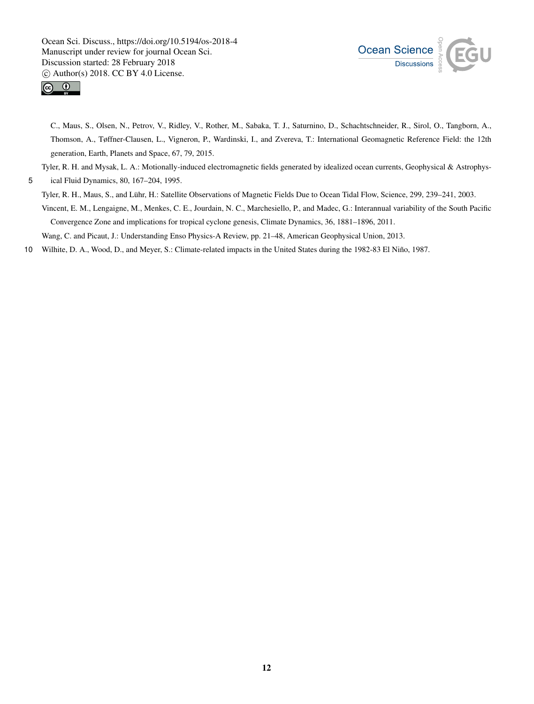



C., Maus, S., Olsen, N., Petrov, V., Ridley, V., Rother, M., Sabaka, T. J., Saturnino, D., Schachtschneider, R., Sirol, O., Tangborn, A., Thomson, A., Tøffner-Clausen, L., Vigneron, P., Wardinski, I., and Zvereva, T.: International Geomagnetic Reference Field: the 12th generation, Earth, Planets and Space, 67, 79, 2015.

Tyler, R. H. and Mysak, L. A.: Motionally-induced electromagnetic fields generated by idealized ocean currents, Geophysical & Astrophys-

5 ical Fluid Dynamics, 80, 167–204, 1995.

Tyler, R. H., Maus, S., and Lühr, H.: Satellite Observations of Magnetic Fields Due to Ocean Tidal Flow, Science, 299, 239–241, 2003.

Vincent, E. M., Lengaigne, M., Menkes, C. E., Jourdain, N. C., Marchesiello, P., and Madec, G.: Interannual variability of the South Pacific Convergence Zone and implications for tropical cyclone genesis, Climate Dynamics, 36, 1881–1896, 2011.

Wang, C. and Picaut, J.: Understanding Enso Physics-A Review, pp. 21–48, American Geophysical Union, 2013.

10 Wilhite, D. A., Wood, D., and Meyer, S.: Climate-related impacts in the United States during the 1982-83 El Niño, 1987.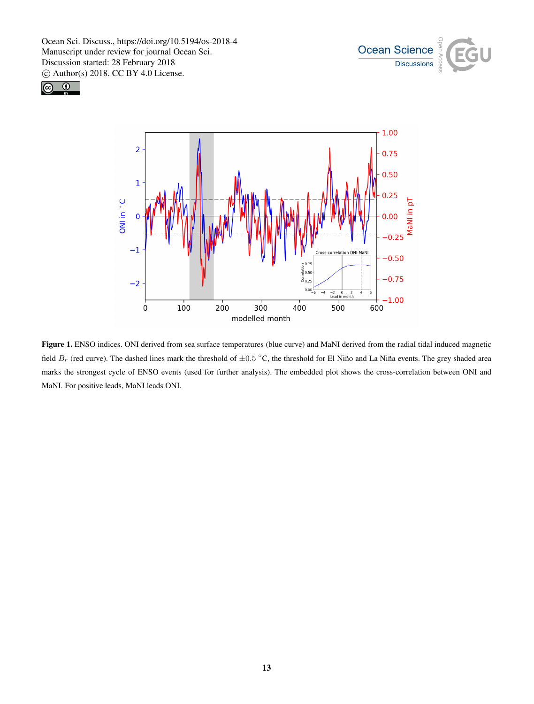





Figure 1. ENSO indices. ONI derived from sea surface temperatures (blue curve) and MaNI derived from the radial tidal induced magnetic field  $B_r$  (red curve). The dashed lines mark the threshold of  $\pm 0.5$  °C, the threshold for El Niño and La Niña events. The grey shaded area marks the strongest cycle of ENSO events (used for further analysis). The embedded plot shows the cross-correlation between ONI and MaNI. For positive leads, MaNI leads ONI.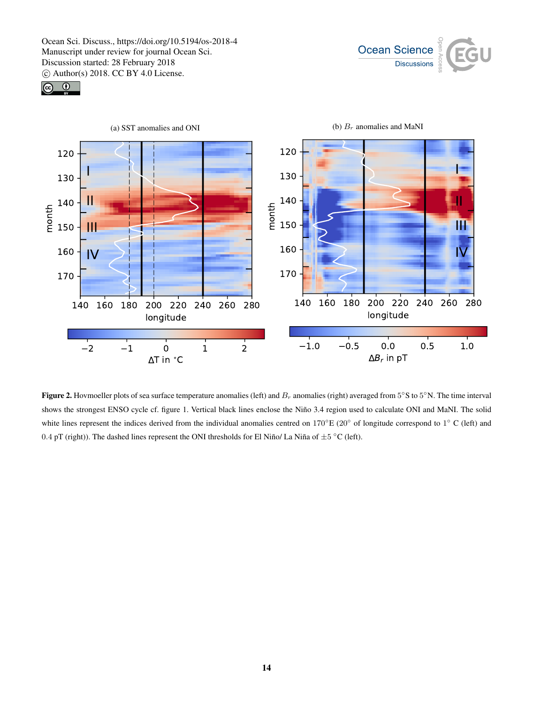





**Figure 2.** Hovmoeller plots of sea surface temperature anomalies (left) and  $B_r$  anomalies (right) averaged from  $5^{\circ}$ S to  $5^{\circ}$ N. The time interval shows the strongest ENSO cycle cf. figure 1. Vertical black lines enclose the Niño 3.4 region used to calculate ONI and MaNI. The solid white lines represent the indices derived from the individual anomalies centred on  $170^{\circ}E(20^{\circ}$  of longitude correspond to  $1^{\circ}C$  (left) and 0.4 pT (right)). The dashed lines represent the ONI thresholds for El Niño/ La Niña of  $\pm 5$  °C (left).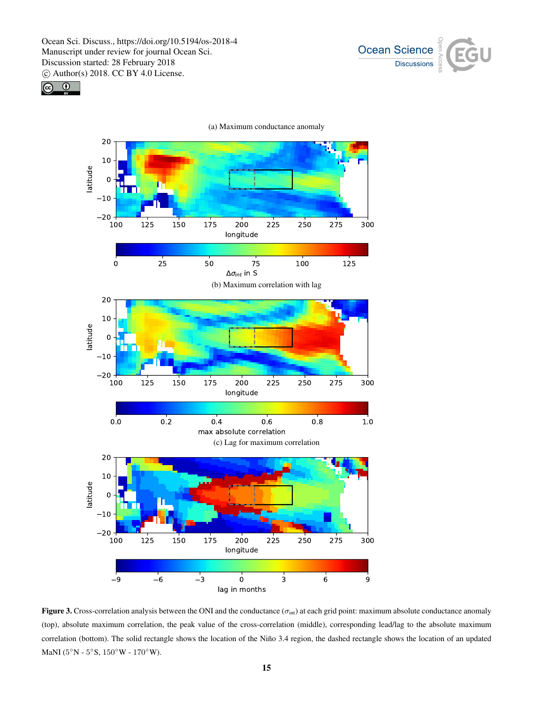





Figure 3. Cross-correlation analysis between the ONI and the conductance ( $\sigma_{\text{int}}$ ) at each grid point: maximum absolute conductance anomaly (top), absolute maximum correlation, the peak value of the cross-correlation (middle), corresponding lead/lag to the absolute maximum correlation (bottom). The solid rectangle shows the location of the Niño 3.4 region, the dashed rectangle shows the location of an updated MaNI ( $5^{\circ}$ N -  $5^{\circ}$ S,  $150^{\circ}$ W -  $170^{\circ}$ W).